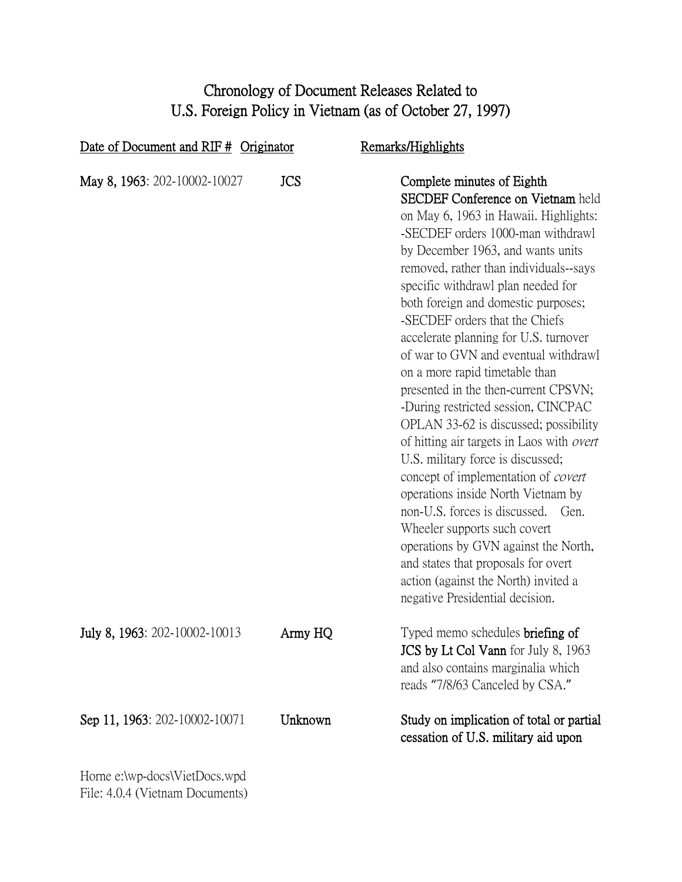## Chronology of Document Releases Related to U.S. Foreign Policy in Vietnam (as of October 27, 1997)

| Date of Document and RIF $#$ Originator |            | Remarks/Highlights                                                                                                                                                                                                                                                                                                                                                                                                                                                                                                                                                                                                                                                                                                                                                                                                                                                                                                                                                                                     |  |
|-----------------------------------------|------------|--------------------------------------------------------------------------------------------------------------------------------------------------------------------------------------------------------------------------------------------------------------------------------------------------------------------------------------------------------------------------------------------------------------------------------------------------------------------------------------------------------------------------------------------------------------------------------------------------------------------------------------------------------------------------------------------------------------------------------------------------------------------------------------------------------------------------------------------------------------------------------------------------------------------------------------------------------------------------------------------------------|--|
| May 8, 1963: 202-10002-10027            | <b>JCS</b> | Complete minutes of Eighth<br><b>SECDEF Conference on Vietnam held</b><br>on May 6, 1963 in Hawaii. Highlights:<br>-SECDEF orders 1000-man withdrawl<br>by December 1963, and wants units<br>removed, rather than individuals--says<br>specific withdrawl plan needed for<br>both foreign and domestic purposes;<br>-SECDEF orders that the Chiefs<br>accelerate planning for U.S. turnover<br>of war to GVN and eventual withdrawl<br>on a more rapid timetable than<br>presented in the then-current CPSVN;<br>-During restricted session, CINCPAC<br>OPLAN 33-62 is discussed; possibility<br>of hitting air targets in Laos with <i>overt</i><br>U.S. military force is discussed;<br>concept of implementation of covert<br>operations inside North Vietnam by<br>non-U.S. forces is discussed.<br>Gen.<br>Wheeler supports such covert<br>operations by GVN against the North,<br>and states that proposals for overt<br>action (against the North) invited a<br>negative Presidential decision. |  |
| July 8, 1963: 202-10002-10013           | Army HQ    | Typed memo schedules <b>briefing of</b><br>JCS by Lt Col Vann for July 8, 1963<br>and also contains marginalia which<br>reads "7/8/63 Canceled by CSA."                                                                                                                                                                                                                                                                                                                                                                                                                                                                                                                                                                                                                                                                                                                                                                                                                                                |  |
| Sep 11, 1963: 202-10002-10071           | Unknown    | Study on implication of total or partial<br>cessation of U.S. military aid upon                                                                                                                                                                                                                                                                                                                                                                                                                                                                                                                                                                                                                                                                                                                                                                                                                                                                                                                        |  |
| Horne e:\wp-docs\VietDocs.wpd           |            |                                                                                                                                                                                                                                                                                                                                                                                                                                                                                                                                                                                                                                                                                                                                                                                                                                                                                                                                                                                                        |  |

File: 4.0.4 (Vietnam Documents)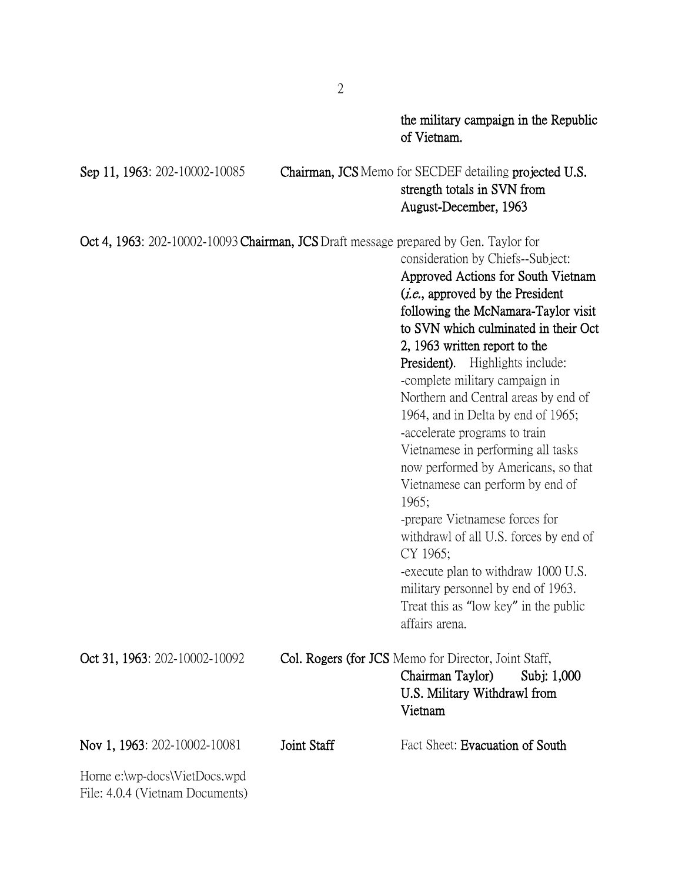Horne e:\wp-docs\VietDocs.wpd File: 4.0.4 (Vietnam Documents) the military campaign in the Republic of Vietnam. Sep 11, 1963: 202-10002-10085 Chairman, JCS Memo for SECDEF detailing projected U.S. strength totals in SVN from August-December, 1963 Oct 4, 1963: 202-10002-10093 Chairman, JCSDraft message prepared by Gen. Taylor for consideration by Chiefs--Subject: Approved Actions for South Vietnam (i.e., approved by the President following the McNamara-Taylor visit to SVN which culminated in their Oct 2, 1963 written report to the President). Highlights include: -complete military campaign in Northern and Central areas by end of 1964, and in Delta by end of 1965; -accelerate programs to train Vietnamese in performing all tasks now performed by Americans, so that Vietnamese can perform by end of 1965; -prepare Vietnamese forces for withdrawl of all U.S. forces by end of CY 1965; -execute plan to withdraw 1000 U.S. military personnel by end of 1963. Treat this as "low key" in the public affairs arena. Oct 31, 1963: 202-10002-10092 Col. Rogers (for JCS Memo for Director, Joint Staff, Chairman Taylor) Subj: 1,000 U.S. Military Withdrawl from Vietnam Nov 1, 1963: 202-10002-10081 Joint Staff Fact Sheet: Evacuation of South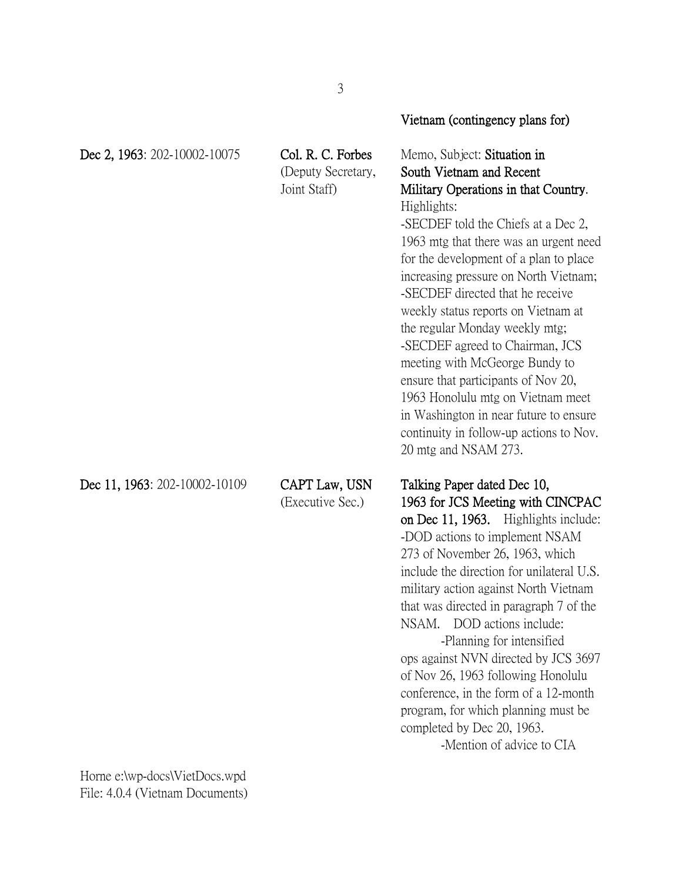|                               |                                                         | Vietnam (contingency plans for)                                                                                                                                                                                                                                                                                                                                                                                                                                                                                                                                                                                                                               |
|-------------------------------|---------------------------------------------------------|---------------------------------------------------------------------------------------------------------------------------------------------------------------------------------------------------------------------------------------------------------------------------------------------------------------------------------------------------------------------------------------------------------------------------------------------------------------------------------------------------------------------------------------------------------------------------------------------------------------------------------------------------------------|
| Dec 2, 1963: 202-10002-10075  | Col. R. C. Forbes<br>(Deputy Secretary,<br>Joint Staff) | Memo, Subject: Situation in<br>South Vietnam and Recent<br>Military Operations in that Country.<br>Highlights:<br>-SECDEF told the Chiefs at a Dec 2,<br>1963 mtg that there was an urgent need<br>for the development of a plan to place<br>increasing pressure on North Vietnam;<br>-SECDEF directed that he receive<br>weekly status reports on Vietnam at<br>the regular Monday weekly mtg;<br>-SECDEF agreed to Chairman, JCS<br>meeting with McGeorge Bundy to<br>ensure that participants of Nov 20,<br>1963 Honolulu mtg on Vietnam meet<br>in Washington in near future to ensure<br>continuity in follow-up actions to Nov.<br>20 mtg and NSAM 273. |
| Dec 11, 1963: 202-10002-10109 | CAPT Law, USN<br>(Executive Sec.)                       | Talking Paper dated Dec 10,<br>1963 for JCS Meeting with CINCPAC<br>on Dec 11, 1963. Highlights include:<br>-DOD actions to implement NSAM<br>273 of November 26, 1963, which<br>include the direction for unilateral U.S.<br>military action against North Vietnam<br>that was directed in paragraph 7 of the<br>DOD actions include:<br>NSAM.<br>-Planning for intensified<br>ops against NVN directed by JCS 3697<br>of Nov 26, 1963 following Honolulu<br>conference, in the form of a 12-month<br>program, for which planning must be<br>completed by Dec 20, 1963.<br>-Mention of advice to CIA                                                         |

Horne e:\wp-docs\VietDocs.wpd File: 4.0.4 (Vietnam Documents)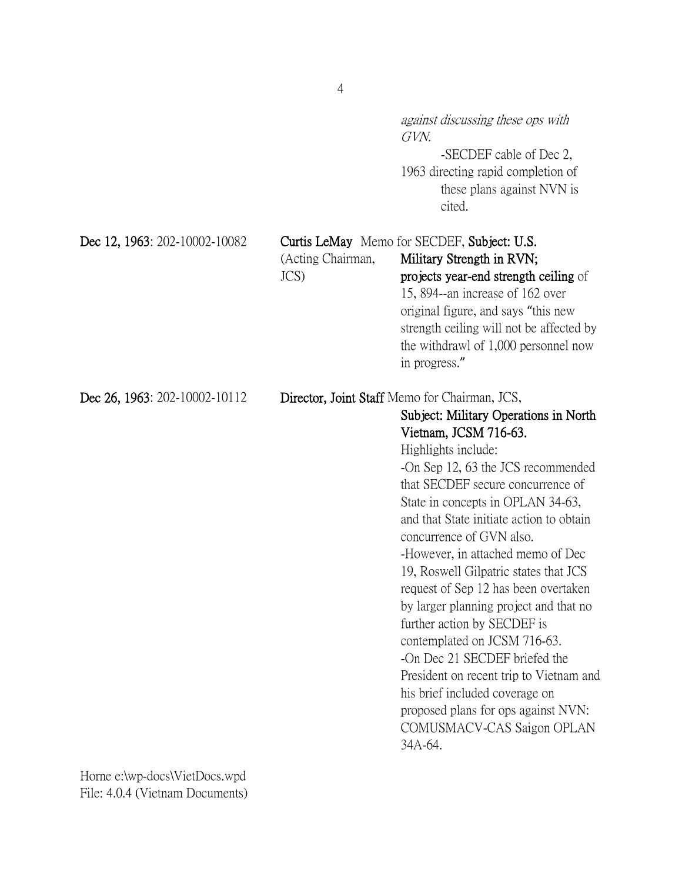|                               |                           | <i>against discussing these ops with</i><br>GVN.<br>-SECDEF cable of Dec 2,<br>1963 directing rapid completion of<br>these plans against NVN is<br>cited.                                                                                                                                                                                                                                                                                                                                                                                                                                                                                                                                                                                                   |
|-------------------------------|---------------------------|-------------------------------------------------------------------------------------------------------------------------------------------------------------------------------------------------------------------------------------------------------------------------------------------------------------------------------------------------------------------------------------------------------------------------------------------------------------------------------------------------------------------------------------------------------------------------------------------------------------------------------------------------------------------------------------------------------------------------------------------------------------|
| Dec 12, 1963: 202-10002-10082 | (Acting Chairman,<br>JCS) | Curtis LeMay Memo for SECDEF, Subject: U.S.<br>Military Strength in RVN;<br>projects year-end strength ceiling of<br>15, 894--an increase of 162 over<br>original figure, and says "this new<br>strength ceiling will not be affected by<br>the withdrawl of 1,000 personnel now<br>in progress."                                                                                                                                                                                                                                                                                                                                                                                                                                                           |
| Dec 26, 1963: 202-10002-10112 |                           | Director, Joint Staff Memo for Chairman, JCS,<br>Subject: Military Operations in North<br>Vietnam, JCSM 716-63.<br>Highlights include:<br>-On Sep 12, 63 the JCS recommended<br>that SECDEF secure concurrence of<br>State in concepts in OPLAN 34-63,<br>and that State initiate action to obtain<br>concurrence of GVN also.<br>-However, in attached memo of Dec<br>19, Roswell Gilpatric states that JCS<br>request of Sep 12 has been overtaken<br>by larger planning project and that no<br>further action by SECDEF is<br>contemplated on JCSM 716-63.<br>-On Dec 21 SECDEF briefed the<br>President on recent trip to Vietnam and<br>his brief included coverage on<br>proposed plans for ops against NVN:<br>COMUSMACV-CAS Saigon OPLAN<br>34A-64. |

Horne e:\wp-docs\VietDocs.wpd File: 4.0.4 (Vietnam Documents) 4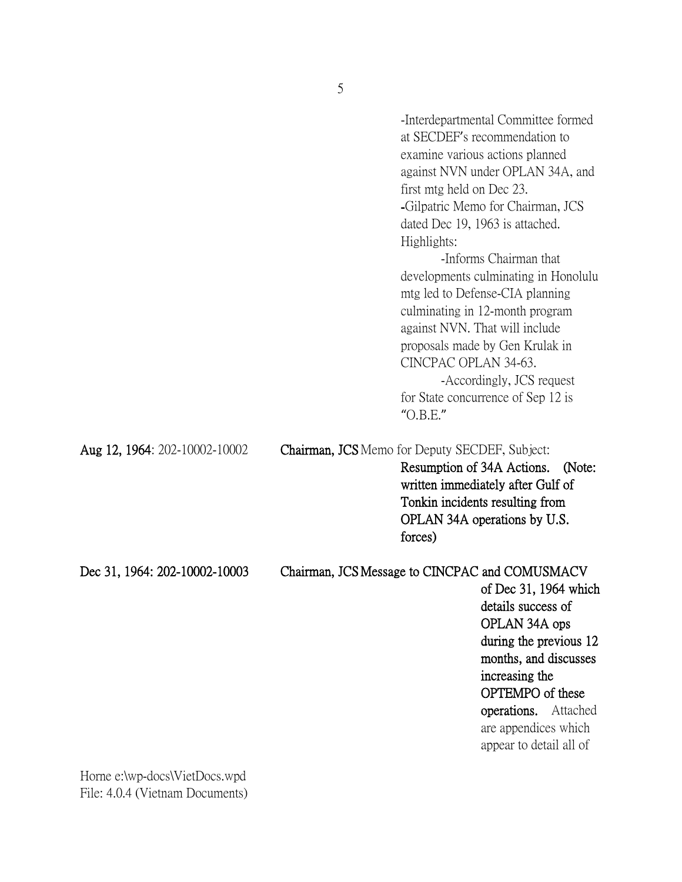|                               | first mtg held on Dec 23.<br>Highlights:<br>CINCPAC OPLAN 34-63.<br>"O.B.E." | -Interdepartmental Committee formed<br>at SECDEF's recommendation to<br>examine various actions planned<br>against NVN under OPLAN 34A, and<br>-Gilpatric Memo for Chairman, JCS<br>dated Dec 19, 1963 is attached.<br>-Informs Chairman that<br>developments culminating in Honolulu<br>mtg led to Defense-CIA planning<br>culminating in 12-month program<br>against NVN. That will include<br>proposals made by Gen Krulak in<br>-Accordingly, JCS request<br>for State concurrence of Sep 12 is |
|-------------------------------|------------------------------------------------------------------------------|-----------------------------------------------------------------------------------------------------------------------------------------------------------------------------------------------------------------------------------------------------------------------------------------------------------------------------------------------------------------------------------------------------------------------------------------------------------------------------------------------------|
| Aug 12, 1964: 202-10002-10002 | Chairman, JCS Memo for Deputy SECDEF, Subject:<br>forces)                    | Resumption of 34A Actions.<br>(Note:<br>written immediately after Gulf of<br>Tonkin incidents resulting from<br>OPLAN 34A operations by U.S.                                                                                                                                                                                                                                                                                                                                                        |
| Dec 31, 1964: 202-10002-10003 | Chairman, JCS Message to CINCPAC and COMUSMACV                               | of Dec 31, 1964 which<br>details success of<br>OPLAN 34A ops<br>during the previous 12<br>months, and discusses<br>increasing the<br>OPTEMPO of these<br>operations. Attached<br>are appendices which<br>appear to detail all of                                                                                                                                                                                                                                                                    |

Horne e:\wp-docs\VietDocs.wpd File: 4.0.4 (Vietnam Documents)